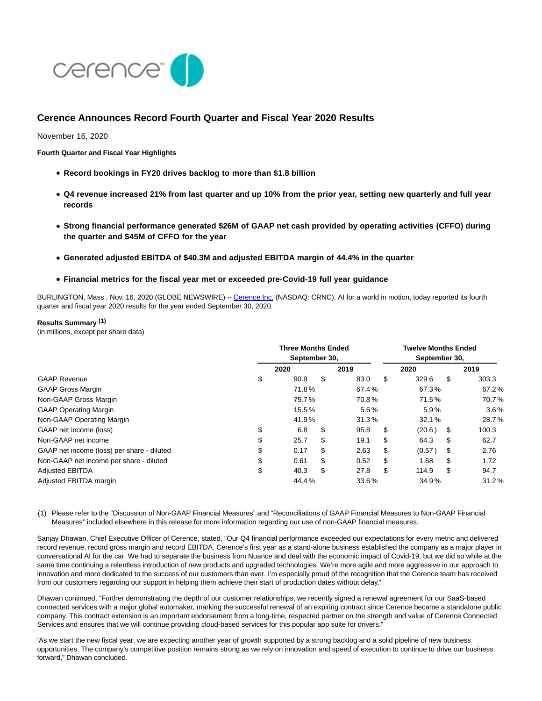

# **Cerence Announces Record Fourth Quarter and Fiscal Year 2020 Results**

November 16, 2020

**Fourth Quarter and Fiscal Year Highlights**

- **Record bookings in FY20 drives backlog to more than \$1.8 billion**
- **Q4 revenue increased 21% from last quarter and up 10% from the prior year, setting new quarterly and full year records**
- **Strong financial performance generated \$26M of GAAP net cash provided by operating activities (CFFO) during the quarter and \$45M of CFFO for the year**
- **Generated adjusted EBITDA of \$40.3M and adjusted EBITDA margin of 44.4% in the quarter**
- **Financial metrics for the fiscal year met or exceeded pre-Covid-19 full year guidance**

BURLINGTON, Mass., Nov. 16, 2020 (GLOBE NEWSWIRE) -[- Cerenc](https://www.globenewswire.com/Tracker?data=vxRsZ03O-FB-8ydOaFxw9MOziq4po8fDn4J4OFsw46gbqdgRMcloHBaO7H5ruKgOnQMaY4_2wO-kpg3dU8zbjg==)[e](https://www.globenewswire.com/Tracker?data=2N1Rk_cjkFc9U2KFZcpO59w3p-60W6FDrTMh9wn33u6UsQgGVrIBlB7RnoMddAkB) [Inc. \(](https://www.globenewswire.com/Tracker?data=pEft1hSFsQmF_9SIaxHq4urQI2CSaUkzxvpvW6eCyfUrsCFqExtf-JK2znSVagoP6CrX9jhH8ZOXTiSjIWIjwA==)NASDAQ: CRNC), AI for a world in motion, today reported its fourth quarter and fiscal year 2020 results for the year ended September 30, 2020.

**Results Summary (1)**

(in millions, except per share data)

|                                            | <b>Three Months Ended</b><br>September 30, |       |    |       |    | <b>Twelve Months Ended</b><br>September 30, |     |         |  |
|--------------------------------------------|--------------------------------------------|-------|----|-------|----|---------------------------------------------|-----|---------|--|
|                                            |                                            | 2020  |    | 2019  |    | 2020                                        |     | 2019    |  |
| <b>GAAP Revenue</b>                        | \$                                         | 90.9  | \$ | 83.0  | \$ | 329.6                                       | \$  | 303.3   |  |
| <b>GAAP Gross Margin</b>                   |                                            | 71.8% |    | 67.4% |    | 67.3%                                       |     | 67.2%   |  |
| Non-GAAP Gross Margin                      |                                            | 75.7% |    | 70.8% |    | 71.5%                                       |     | 70.7%   |  |
| <b>GAAP Operating Margin</b>               |                                            | 15.5% |    | 5.6%  |    | 5.9%                                        |     | $3.6\%$ |  |
| Non-GAAP Operating Margin                  |                                            | 41.9% |    | 31.3% |    | 32.1%                                       |     | 28.7%   |  |
| GAAP net income (loss)                     | \$                                         | 6.8   | \$ | 95.8  | \$ | (20.6)                                      | \$  | 100.3   |  |
| Non-GAAP net income                        |                                            | 25.7  | \$ | 19.1  | \$ | 64.3                                        | \$. | 62.7    |  |
| GAAP net income (loss) per share - diluted | \$                                         | 0.17  | \$ | 2.63  | \$ | (0.57)                                      | S   | 2.76    |  |
| Non-GAAP net income per share - diluted    | \$                                         | 0.61  | \$ | 0.52  | \$ | 1.68                                        | S   | 1.72    |  |
| <b>Adjusted EBITDA</b>                     | \$                                         | 40.3  | \$ | 27.8  | \$ | 114.9                                       | \$  | 94.7    |  |
| Adjusted EBITDA margin                     |                                            | 44.4% |    | 33.6% |    | 34.9%                                       |     | 31.2%   |  |

(1) Please refer to the "Discussion of Non-GAAP Financial Measures" and "Reconciliations of GAAP Financial Measures to Non-GAAP Financial Measures" included elsewhere in this release for more information regarding our use of non-GAAP financial measures.

Sanjay Dhawan, Chief Executive Officer of Cerence, stated, "Our Q4 financial performance exceeded our expectations for every metric and delivered record revenue, record gross margin and record EBITDA. Cerence's first year as a stand-alone business established the company as a major player in conversational AI for the car. We had to separate the business from Nuance and deal with the economic impact of Covid-19, but we did so while at the same time continuing a relentless introduction of new products and upgraded technologies. We're more agile and more aggressive in our approach to innovation and more dedicated to the success of our customers than ever. I'm especially proud of the recognition that the Cerence team has received from our customers regarding our support in helping them achieve their start of production dates without delay."

Dhawan continued, "Further demonstrating the depth of our customer relationships, we recently signed a renewal agreement for our SaaS-based connected services with a major global automaker, marking the successful renewal of an expiring contract since Cerence became a standalone public company. This contract extension is an important endorsement from a long-time, respected partner on the strength and value of Cerence Connected Services and ensures that we will continue providing cloud-based services for this popular app suite for drivers."

"As we start the new fiscal year, we are expecting another year of growth supported by a strong backlog and a solid pipeline of new business opportunities. The company's competitive position remains strong as we rely on innovation and speed of execution to continue to drive our business forward," Dhawan concluded.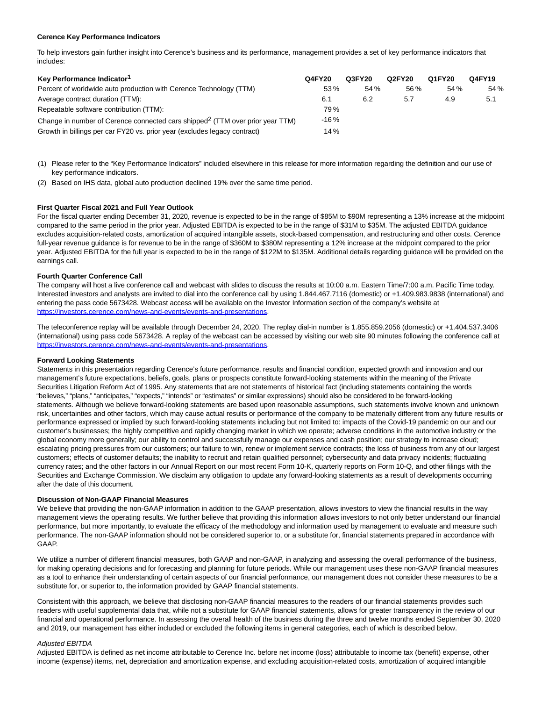#### **Cerence Key Performance Indicators**

To help investors gain further insight into Cerence's business and its performance, management provides a set of key performance indicators that includes:

| Key Performance Indicator <sup>1</sup>                                                    | Q4FY20 | Q3FY20 | Q2FY20 | Q1FY20 | Q4FY19 |
|-------------------------------------------------------------------------------------------|--------|--------|--------|--------|--------|
| Percent of worldwide auto production with Cerence Technology (TTM)                        | 53%    | 54%    | 56%    | 54%    | 54%    |
| Average contract duration (TTM):                                                          | 6.1    | 6.2    | 5.7    | 4.9    | 5.1    |
| Repeatable software contribution (TTM):                                                   | 79%    |        |        |        |        |
| Change in number of Cerence connected cars shipped <sup>2</sup> (TTM over prior year TTM) | $-16%$ |        |        |        |        |
| Growth in billings per car FY20 vs. prior year (excludes legacy contract)                 | 14%    |        |        |        |        |

- (1) Please refer to the "Key Performance Indicators" included elsewhere in this release for more information regarding the definition and our use of key performance indicators.
- (2) Based on IHS data, global auto production declined 19% over the same time period.

#### **First Quarter Fiscal 2021 and Full Year Outlook**

For the fiscal quarter ending December 31, 2020, revenue is expected to be in the range of \$85M to \$90M representing a 13% increase at the midpoint compared to the same period in the prior year. Adjusted EBITDA is expected to be in the range of \$31M to \$35M. The adjusted EBITDA guidance excludes acquisition-related costs, amortization of acquired intangible assets, stock-based compensation, and restructuring and other costs. Cerence full-year revenue guidance is for revenue to be in the range of \$360M to \$380M representing a 12% increase at the midpoint compared to the prior year. Adjusted EBITDA for the full year is expected to be in the range of \$122M to \$135M. Additional details regarding guidance will be provided on the earnings call.

## **Fourth Quarter Conference Call**

The company will host a live conference call and webcast with slides to discuss the results at 10:00 a.m. Eastern Time/7:00 a.m. Pacific Time today. Interested investors and analysts are invited to dial into the conference call by using 1.844.467.7116 (domestic) or +1.409.983.9838 (international) and entering the pass code 5673428. Webcast access will be available on the Investor Information section of the company's website at [https://investors.cerence.com/news-and-events/events-and-presentations.](https://www.globenewswire.com/Tracker?data=O7G_EMkJy54a_IDs-_iAAa6sn42qgNZxDhJqVrGC_a_sBmBOTytd_O4XuwUvWV0grv1t3GU8jhrfxwJtsHdp3-aDMlxtWzNTedzJ6OaZs3xKpfJlOQ4Zz56kxcfOnblnejff-cW-58uU2n6A-G8vw2ueNk-vaE0aGQ4eIFAIWULvLDAZTW-2AwsQ0eunA8E_D41nznQk8fRtq9MXs6wWJYZHw_ZcW1oUbrVLzT7i_TI=)

The teleconference replay will be available through December 24, 2020. The replay dial-in number is 1.855.859.2056 (domestic) or +1.404.537.3406 (international) using pass code 5673428. A replay of the webcast can be accessed by visiting our web site 90 minutes following the conference call at [https://investors.cerence.com/news-and-events/events-and-presentations.](https://www.globenewswire.com/Tracker?data=O7G_EMkJy54a_IDs-_iAAa6sn42qgNZxDhJqVrGC_a_sBmBOTytd_O4XuwUvWV0grv1t3GU8jhrfxwJtsHdp3-aDMlxtWzNTedzJ6OaZs3w8eZ3NHKXCDUh6826CSjd1CoDnAFqBIEDaqqq_ewmbn529ZG8A8_WrZJt0OW3WKTLi6D2ea-rIt0jDEtdU4pmpJNjetdNM4JHTqa8hQhubh70oxpvn_ZQU5sI_CQj9qXY=)

#### **Forward Looking Statements**

Statements in this presentation regarding Cerence's future performance, results and financial condition, expected growth and innovation and our management's future expectations, beliefs, goals, plans or prospects constitute forward-looking statements within the meaning of the Private Securities Litigation Reform Act of 1995. Any statements that are not statements of historical fact (including statements containing the words "believes," "plans," "anticipates," "expects," "intends" or "estimates" or similar expressions) should also be considered to be forward-looking statements. Although we believe forward-looking statements are based upon reasonable assumptions, such statements involve known and unknown risk, uncertainties and other factors, which may cause actual results or performance of the company to be materially different from any future results or performance expressed or implied by such forward-looking statements including but not limited to: impacts of the Covid-19 pandemic on our and our customer's businesses; the highly competitive and rapidly changing market in which we operate; adverse conditions in the automotive industry or the global economy more generally; our ability to control and successfully manage our expenses and cash position; our strategy to increase cloud; escalating pricing pressures from our customers; our failure to win, renew or implement service contracts; the loss of business from any of our largest customers; effects of customer defaults; the inability to recruit and retain qualified personnel; cybersecurity and data privacy incidents; fluctuating currency rates; and the other factors in our Annual Report on our most recent Form 10-K, quarterly reports on Form 10-Q, and other filings with the Securities and Exchange Commission. We disclaim any obligation to update any forward-looking statements as a result of developments occurring after the date of this document.

#### **Discussion of Non-GAAP Financial Measures**

We believe that providing the non-GAAP information in addition to the GAAP presentation, allows investors to view the financial results in the way management views the operating results. We further believe that providing this information allows investors to not only better understand our financial performance, but more importantly, to evaluate the efficacy of the methodology and information used by management to evaluate and measure such performance. The non-GAAP information should not be considered superior to, or a substitute for, financial statements prepared in accordance with GAAP.

We utilize a number of different financial measures, both GAAP and non-GAAP, in analyzing and assessing the overall performance of the business, for making operating decisions and for forecasting and planning for future periods. While our management uses these non-GAAP financial measures as a tool to enhance their understanding of certain aspects of our financial performance, our management does not consider these measures to be a substitute for, or superior to, the information provided by GAAP financial statements.

Consistent with this approach, we believe that disclosing non-GAAP financial measures to the readers of our financial statements provides such readers with useful supplemental data that, while not a substitute for GAAP financial statements, allows for greater transparency in the review of our financial and operational performance. In assessing the overall health of the business during the three and twelve months ended September 30, 2020 and 2019, our management has either included or excluded the following items in general categories, each of which is described below.

#### Adjusted EBITDA

Adjusted EBITDA is defined as net income attributable to Cerence Inc. before net income (loss) attributable to income tax (benefit) expense, other income (expense) items, net, depreciation and amortization expense, and excluding acquisition-related costs, amortization of acquired intangible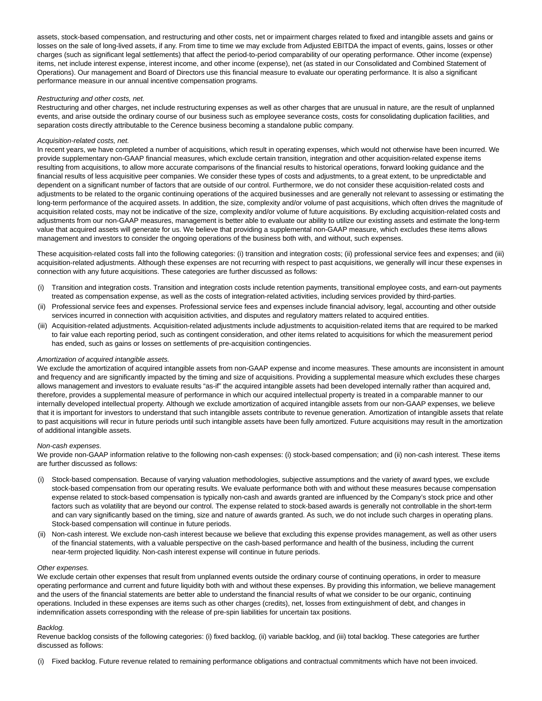assets, stock-based compensation, and restructuring and other costs, net or impairment charges related to fixed and intangible assets and gains or losses on the sale of long-lived assets, if any. From time to time we may exclude from Adjusted EBITDA the impact of events, gains, losses or other charges (such as significant legal settlements) that affect the period-to-period comparability of our operating performance. Other income (expense) items, net include interest expense, interest income, and other income (expense), net (as stated in our Consolidated and Combined Statement of Operations). Our management and Board of Directors use this financial measure to evaluate our operating performance. It is also a significant performance measure in our annual incentive compensation programs.

#### Restructuring and other costs, net.

Restructuring and other charges, net include restructuring expenses as well as other charges that are unusual in nature, are the result of unplanned events, and arise outside the ordinary course of our business such as employee severance costs, costs for consolidating duplication facilities, and separation costs directly attributable to the Cerence business becoming a standalone public company.

#### Acquisition-related costs, net.

In recent years, we have completed a number of acquisitions, which result in operating expenses, which would not otherwise have been incurred. We provide supplementary non-GAAP financial measures, which exclude certain transition, integration and other acquisition-related expense items resulting from acquisitions, to allow more accurate comparisons of the financial results to historical operations, forward looking guidance and the financial results of less acquisitive peer companies. We consider these types of costs and adjustments, to a great extent, to be unpredictable and dependent on a significant number of factors that are outside of our control. Furthermore, we do not consider these acquisition-related costs and adjustments to be related to the organic continuing operations of the acquired businesses and are generally not relevant to assessing or estimating the long-term performance of the acquired assets. In addition, the size, complexity and/or volume of past acquisitions, which often drives the magnitude of acquisition related costs, may not be indicative of the size, complexity and/or volume of future acquisitions. By excluding acquisition-related costs and adjustments from our non-GAAP measures, management is better able to evaluate our ability to utilize our existing assets and estimate the long-term value that acquired assets will generate for us. We believe that providing a supplemental non-GAAP measure, which excludes these items allows management and investors to consider the ongoing operations of the business both with, and without, such expenses.

These acquisition-related costs fall into the following categories: (i) transition and integration costs; (ii) professional service fees and expenses; and (iii) acquisition-related adjustments. Although these expenses are not recurring with respect to past acquisitions, we generally will incur these expenses in connection with any future acquisitions. These categories are further discussed as follows:

- (i) Transition and integration costs. Transition and integration costs include retention payments, transitional employee costs, and earn-out payments treated as compensation expense, as well as the costs of integration-related activities, including services provided by third-parties.
- (ii) Professional service fees and expenses. Professional service fees and expenses include financial advisory, legal, accounting and other outside services incurred in connection with acquisition activities, and disputes and regulatory matters related to acquired entities.
- (iii) Acquisition-related adjustments. Acquisition-related adjustments include adjustments to acquisition-related items that are required to be marked to fair value each reporting period, such as contingent consideration, and other items related to acquisitions for which the measurement period has ended, such as gains or losses on settlements of pre-acquisition contingencies.

## Amortization of acquired intangible assets.

We exclude the amortization of acquired intangible assets from non-GAAP expense and income measures. These amounts are inconsistent in amount and frequency and are significantly impacted by the timing and size of acquisitions. Providing a supplemental measure which excludes these charges allows management and investors to evaluate results "as-if" the acquired intangible assets had been developed internally rather than acquired and, therefore, provides a supplemental measure of performance in which our acquired intellectual property is treated in a comparable manner to our internally developed intellectual property. Although we exclude amortization of acquired intangible assets from our non-GAAP expenses, we believe that it is important for investors to understand that such intangible assets contribute to revenue generation. Amortization of intangible assets that relate to past acquisitions will recur in future periods until such intangible assets have been fully amortized. Future acquisitions may result in the amortization of additional intangible assets.

#### Non-cash expenses.

We provide non-GAAP information relative to the following non-cash expenses: (i) stock-based compensation; and (ii) non-cash interest. These items are further discussed as follows:

- (i) Stock-based compensation. Because of varying valuation methodologies, subjective assumptions and the variety of award types, we exclude stock-based compensation from our operating results. We evaluate performance both with and without these measures because compensation expense related to stock-based compensation is typically non-cash and awards granted are influenced by the Company's stock price and other factors such as volatility that are beyond our control. The expense related to stock-based awards is generally not controllable in the short-term and can vary significantly based on the timing, size and nature of awards granted. As such, we do not include such charges in operating plans. Stock-based compensation will continue in future periods.
- (ii) Non-cash interest. We exclude non-cash interest because we believe that excluding this expense provides management, as well as other users of the financial statements, with a valuable perspective on the cash-based performance and health of the business, including the current near-term projected liquidity. Non-cash interest expense will continue in future periods.

#### Other expenses.

We exclude certain other expenses that result from unplanned events outside the ordinary course of continuing operations, in order to measure operating performance and current and future liquidity both with and without these expenses. By providing this information, we believe management and the users of the financial statements are better able to understand the financial results of what we consider to be our organic, continuing operations. Included in these expenses are items such as other charges (credits), net, losses from extinguishment of debt, and changes in indemnification assets corresponding with the release of pre-spin liabilities for uncertain tax positions.

#### Backlog.

Revenue backlog consists of the following categories: (i) fixed backlog, (ii) variable backlog, and (iii) total backlog. These categories are further discussed as follows:

(i) Fixed backlog. Future revenue related to remaining performance obligations and contractual commitments which have not been invoiced.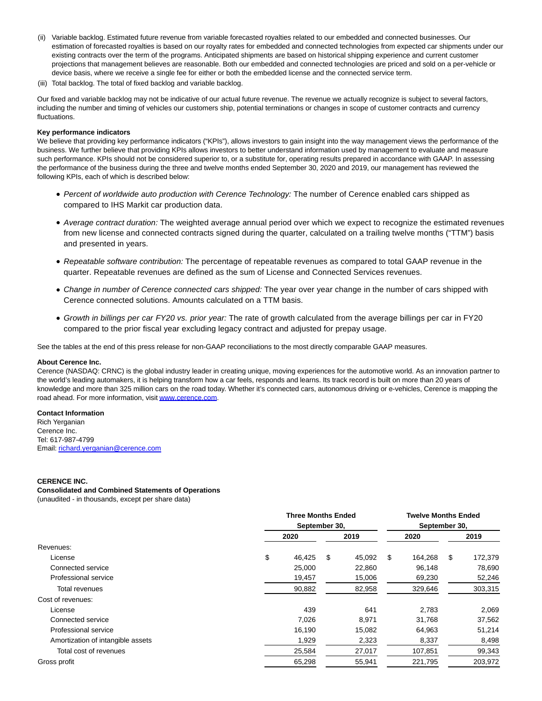- (ii) Variable backlog. Estimated future revenue from variable forecasted royalties related to our embedded and connected businesses. Our estimation of forecasted royalties is based on our royalty rates for embedded and connected technologies from expected car shipments under our existing contracts over the term of the programs. Anticipated shipments are based on historical shipping experience and current customer projections that management believes are reasonable. Both our embedded and connected technologies are priced and sold on a per-vehicle or device basis, where we receive a single fee for either or both the embedded license and the connected service term.
- (iii) Total backlog. The total of fixed backlog and variable backlog.

Our fixed and variable backlog may not be indicative of our actual future revenue. The revenue we actually recognize is subject to several factors, including the number and timing of vehicles our customers ship, potential terminations or changes in scope of customer contracts and currency fluctuations.

#### **Key performance indicators**

We believe that providing key performance indicators ("KPIs"), allows investors to gain insight into the way management views the performance of the business. We further believe that providing KPIs allows investors to better understand information used by management to evaluate and measure such performance. KPIs should not be considered superior to, or a substitute for, operating results prepared in accordance with GAAP. In assessing the performance of the business during the three and twelve months ended September 30, 2020 and 2019, our management has reviewed the following KPIs, each of which is described below:

- Percent of worldwide auto production with Cerence Technology: The number of Cerence enabled cars shipped as compared to IHS Markit car production data.
- Average contract duration: The weighted average annual period over which we expect to recognize the estimated revenues from new license and connected contracts signed during the quarter, calculated on a trailing twelve months ("TTM") basis and presented in years.
- Repeatable software contribution: The percentage of repeatable revenues as compared to total GAAP revenue in the quarter. Repeatable revenues are defined as the sum of License and Connected Services revenues.
- Change in number of Cerence connected cars shipped: The year over year change in the number of cars shipped with Cerence connected solutions. Amounts calculated on a TTM basis.
- Growth in billings per car FY20 vs. prior year: The rate of growth calculated from the average billings per car in FY20 compared to the prior fiscal year excluding legacy contract and adjusted for prepay usage.

See the tables at the end of this press release for non-GAAP reconciliations to the most directly comparable GAAP measures.

#### **About Cerence Inc.**

Cerence (NASDAQ: CRNC) is the global industry leader in creating unique, moving experiences for the automotive world. As an innovation partner to the world's leading automakers, it is helping transform how a car feels, responds and learns. Its track record is built on more than 20 years of knowledge and more than 325 million cars on the road today. Whether it's connected cars, autonomous driving or e-vehicles, Cerence is mapping the road ahead. For more information, visi[t www.cerence.com.](https://www.globenewswire.com/Tracker?data=WiPMFN3bkNLJ66nEiPNs6z_iAN_1uXOilNyZgGWZOvqlf-RX73_Vz5iprCVVIMkDMmlwRff3zwQ-VSOfmIpZow==)

#### **Contact Information**

Rich Yerganian Cerence Inc. Tel: 617-987-4799 Email[: richard.yerganian@cerence.com](https://www.globenewswire.com/Tracker?data=vuCVgV-Na6j8eqXcMscJsQDqeV6nxfHt7pvU7a_enw2-_ZjVytY2vs5GcAnaMaEHHB1bTr8wr0HZd-_rTzOh7OEimiscHcvJeDWeWW1D8_xGsfZRaogOCmL6FmvmJtIX)

#### **CERENCE INC.**

## **Consolidated and Combined Statements of Operations**

|                                   | <b>Three Months Ended</b><br>September 30, |        |     |        | <b>Twelve Months Ended</b><br>September 30, |         |    |         |  |
|-----------------------------------|--------------------------------------------|--------|-----|--------|---------------------------------------------|---------|----|---------|--|
|                                   |                                            | 2020   |     | 2019   |                                             | 2020    |    | 2019    |  |
| Revenues:                         |                                            |        |     |        |                                             |         |    |         |  |
| License                           | \$                                         | 46,425 | -\$ | 45.092 | \$                                          | 164.268 | \$ | 172,379 |  |
| Connected service                 |                                            | 25,000 |     | 22,860 |                                             | 96,148  |    | 78,690  |  |
| Professional service              |                                            | 19,457 |     | 15,006 |                                             | 69,230  |    | 52,246  |  |
| Total revenues                    |                                            | 90,882 |     | 82,958 |                                             | 329,646 |    | 303,315 |  |
| Cost of revenues:                 |                                            |        |     |        |                                             |         |    |         |  |
| License                           |                                            | 439    |     | 641    |                                             | 2.783   |    | 2,069   |  |
| Connected service                 |                                            | 7,026  |     | 8,971  |                                             | 31,768  |    | 37,562  |  |
| Professional service              |                                            | 16,190 |     | 15,082 |                                             | 64,963  |    | 51,214  |  |
| Amortization of intangible assets |                                            | 1,929  |     | 2,323  |                                             | 8,337   |    | 8,498   |  |
| Total cost of revenues            |                                            | 25,584 |     | 27,017 |                                             | 107,851 |    | 99,343  |  |
| Gross profit                      |                                            | 65,298 |     | 55,941 |                                             | 221,795 |    | 203,972 |  |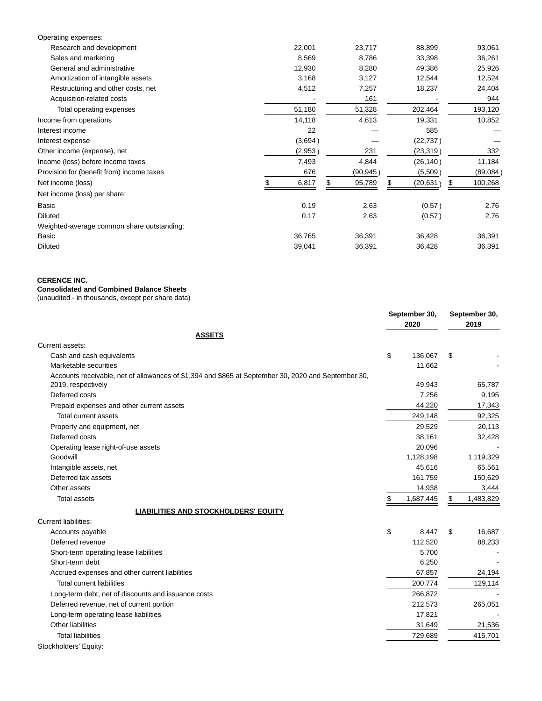| Operating expenses:                        |         |           |           |          |
|--------------------------------------------|---------|-----------|-----------|----------|
| Research and development                   | 22,001  | 23,717    | 88,899    | 93,061   |
| Sales and marketing                        | 8,569   | 8,786     | 33,398    | 36,261   |
| General and administrative                 | 12,930  | 8,280     | 49,386    | 25,926   |
| Amortization of intangible assets          | 3,168   | 3,127     | 12,544    | 12,524   |
| Restructuring and other costs, net         | 4,512   | 7,257     | 18,237    | 24,404   |
| Acquisition-related costs                  |         | 161       |           | 944      |
| Total operating expenses                   | 51,180  | 51,328    | 202,464   | 193,120  |
| Income from operations                     | 14,118  | 4,613     | 19,331    | 10,852   |
| Interest income                            | 22      |           | 585       |          |
| Interest expense                           | (3,694) |           | (22, 737) |          |
| Other income (expense), net                | (2,953) | 231       | (23, 319) | 332      |
| Income (loss) before income taxes          | 7,493   | 4,844     | (26, 140) | 11,184   |
| Provision for (benefit from) income taxes  | 676     | (90, 945) | (5,509)   | (89,084) |
| Net income (loss)                          | 6,817   | 95,789    | (20, 631) | 100,268  |
| Net income (loss) per share:               |         |           |           |          |
| Basic                                      | 0.19    | 2.63      | (0.57)    | 2.76     |
| <b>Diluted</b>                             | 0.17    | 2.63      | (0.57)    | 2.76     |
| Weighted-average common share outstanding: |         |           |           |          |
| Basic                                      | 36,765  | 36,391    | 36,428    | 36,391   |
| <b>Diluted</b>                             | 39,041  | 36,391    | 36,428    | 36,391   |
|                                            |         |           |           |          |

# **Consolidated and Combined Balance Sheets**

|                                                                                                     |    | September 30,<br>2020 |    | September 30,<br>2019 |  |
|-----------------------------------------------------------------------------------------------------|----|-----------------------|----|-----------------------|--|
| <b>ASSETS</b>                                                                                       |    |                       |    |                       |  |
| Current assets:                                                                                     |    |                       |    |                       |  |
| Cash and cash equivalents                                                                           | \$ | 136,067               | \$ |                       |  |
| Marketable securities                                                                               |    | 11,662                |    |                       |  |
| Accounts receivable, net of allowances of \$1,394 and \$865 at September 30, 2020 and September 30, |    |                       |    |                       |  |
| 2019, respectively                                                                                  |    | 49,943                |    | 65,787                |  |
| Deferred costs                                                                                      |    | 7,256                 |    | 9,195                 |  |
| Prepaid expenses and other current assets                                                           |    | 44,220                |    | 17,343                |  |
| Total current assets                                                                                |    | 249,148               |    | 92,325                |  |
| Property and equipment, net                                                                         |    | 29,529                |    | 20,113                |  |
| Deferred costs                                                                                      |    | 38,161                |    | 32,428                |  |
| Operating lease right-of-use assets                                                                 |    | 20,096                |    |                       |  |
| Goodwill                                                                                            |    | 1,128,198             |    | 1,119,329             |  |
| Intangible assets, net                                                                              |    | 45,616                |    | 65,561                |  |
| Deferred tax assets                                                                                 |    | 161,759               |    | 150,629               |  |
| Other assets                                                                                        |    | 14,938                |    | 3,444                 |  |
| <b>Total assets</b>                                                                                 | \$ | 1,687,445             | \$ | 1,483,829             |  |
| <b>LIABILITIES AND STOCKHOLDERS' EQUITY</b>                                                         |    |                       |    |                       |  |
| <b>Current liabilities:</b>                                                                         |    |                       |    |                       |  |
| Accounts payable                                                                                    | \$ | 8,447                 | \$ | 16,687                |  |
| Deferred revenue                                                                                    |    | 112,520               |    | 88,233                |  |
| Short-term operating lease liabilities                                                              |    | 5,700                 |    |                       |  |
| Short-term debt                                                                                     |    | 6,250                 |    |                       |  |
| Accrued expenses and other current liabilities                                                      |    | 67,857                |    | 24,194                |  |
| <b>Total current liabilities</b>                                                                    |    | 200,774               |    | 129,114               |  |
| Long-term debt, net of discounts and issuance costs                                                 |    | 266,872               |    |                       |  |
| Deferred revenue, net of current portion                                                            |    | 212,573               |    | 265,051               |  |
| Long-term operating lease liabilities                                                               |    | 17,821                |    |                       |  |
| Other liabilities                                                                                   |    | 31,649                |    | 21,536                |  |
| <b>Total liabilities</b>                                                                            |    | 729,689               |    | 415,701               |  |
| Stockholders' Equity:                                                                               |    |                       |    |                       |  |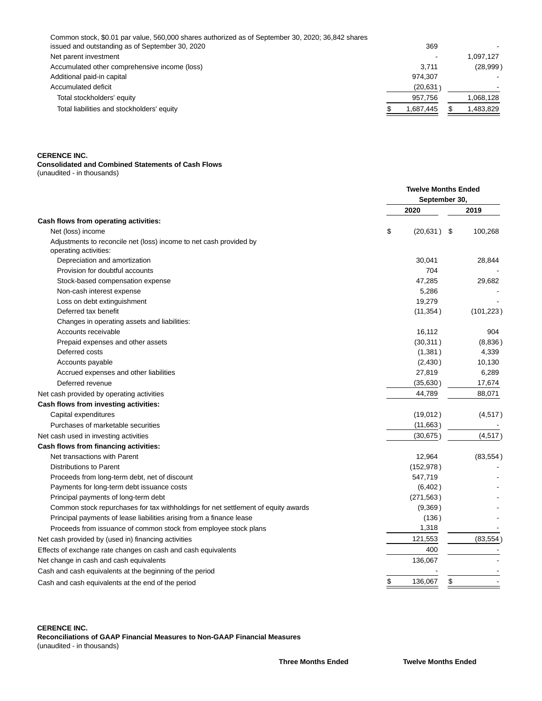| issued and outstanding as of September 30, 2020<br>369  |           |
|---------------------------------------------------------|-----------|
|                                                         |           |
| Net parent investment                                   | 1.097.127 |
| Accumulated other comprehensive income (loss)<br>3.711  | (28,999)  |
| Additional paid-in capital<br>974.307                   |           |
| Accumulated deficit<br>(20, 631)                        |           |
| Total stockholders' equity<br>957.756                   | 1.068.128 |
| Total liabilities and stockholders' equity<br>1,687,445 | 1,483,829 |

# **Consolidated and Combined Statements of Cash Flows**

(unaudited - in thousands)

|                                                                                             | <b>Twelve Months Ended</b> |                       |    |            |
|---------------------------------------------------------------------------------------------|----------------------------|-----------------------|----|------------|
|                                                                                             |                            | September 30,<br>2020 |    | 2019       |
|                                                                                             |                            |                       |    |            |
| Cash flows from operating activities:                                                       | \$                         |                       |    |            |
| Net (loss) income                                                                           |                            | (20, 631)             | \$ | 100,268    |
| Adjustments to reconcile net (loss) income to net cash provided by<br>operating activities: |                            |                       |    |            |
| Depreciation and amortization                                                               |                            | 30,041                |    | 28,844     |
| Provision for doubtful accounts                                                             |                            | 704                   |    |            |
| Stock-based compensation expense                                                            |                            | 47,285                |    | 29,682     |
| Non-cash interest expense                                                                   |                            | 5,286                 |    |            |
| Loss on debt extinguishment                                                                 |                            | 19,279                |    |            |
| Deferred tax benefit                                                                        |                            | (11, 354)             |    | (101, 223) |
| Changes in operating assets and liabilities:                                                |                            |                       |    |            |
| Accounts receivable                                                                         |                            | 16,112                |    | 904        |
| Prepaid expenses and other assets                                                           |                            | (30, 311)             |    | (8,836)    |
| Deferred costs                                                                              |                            | (1,381)               |    | 4,339      |
| Accounts payable                                                                            |                            | (2, 430)              |    | 10,130     |
| Accrued expenses and other liabilities                                                      |                            | 27,819                |    | 6,289      |
| Deferred revenue                                                                            |                            | (35, 630)             |    | 17,674     |
| Net cash provided by operating activities                                                   |                            | 44,789                |    | 88,071     |
| Cash flows from investing activities:                                                       |                            |                       |    |            |
| Capital expenditures                                                                        |                            | (19,012)              |    | (4,517)    |
| Purchases of marketable securities                                                          |                            | (11,663)              |    |            |
| Net cash used in investing activities                                                       |                            | (30, 675)             |    | (4, 517)   |
| Cash flows from financing activities:                                                       |                            |                       |    |            |
| Net transactions with Parent                                                                |                            | 12,964                |    | (83, 554)  |
| Distributions to Parent                                                                     |                            | (152, 978)            |    |            |
| Proceeds from long-term debt, net of discount                                               |                            | 547,719               |    |            |
| Payments for long-term debt issuance costs                                                  |                            | (6, 402)              |    |            |
| Principal payments of long-term debt                                                        |                            | (271, 563)            |    |            |
| Common stock repurchases for tax withholdings for net settlement of equity awards           |                            | (9,369)               |    |            |
| Principal payments of lease liabilities arising from a finance lease                        |                            | (136)                 |    |            |
| Proceeds from issuance of common stock from employee stock plans                            |                            | 1,318                 |    |            |
| Net cash provided by (used in) financing activities                                         |                            | 121,553               |    | (83, 554)  |
| Effects of exchange rate changes on cash and cash equivalents                               |                            | 400                   |    |            |
| Net change in cash and cash equivalents                                                     |                            | 136,067               |    |            |
| Cash and cash equivalents at the beginning of the period                                    |                            |                       |    |            |
| Cash and cash equivalents at the end of the period                                          | \$                         | 136,067               | \$ |            |

# **CERENCE INC. Reconciliations of GAAP Financial Measures to Non-GAAP Financial Measures**

(unaudited - in thousands)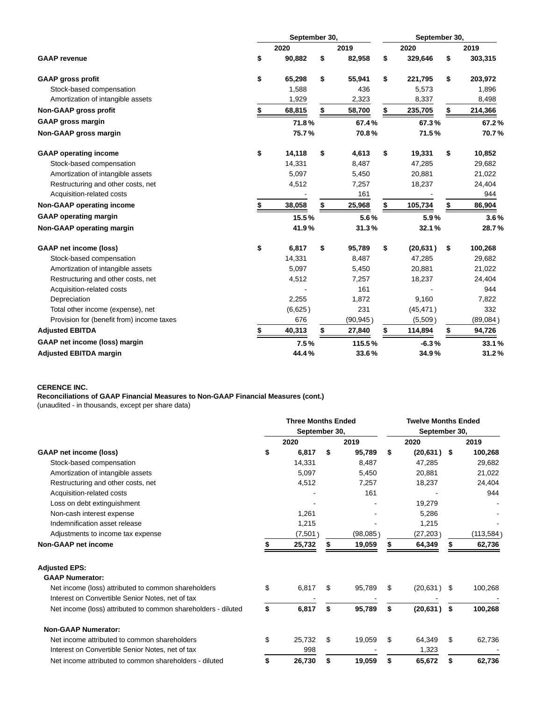|                                           | September 30, |    |           |    | September 30, |    |          |  |
|-------------------------------------------|---------------|----|-----------|----|---------------|----|----------|--|
|                                           | 2020          |    | 2019      |    | 2020          |    | 2019     |  |
| <b>GAAP</b> revenue                       | \$<br>90,882  | \$ | 82,958    | \$ | 329,646       | \$ | 303,315  |  |
| <b>GAAP gross profit</b>                  | \$<br>65,298  | \$ | 55,941    | \$ | 221,795       | \$ | 203,972  |  |
| Stock-based compensation                  | 1,588         |    | 436       |    | 5,573         |    | 1,896    |  |
| Amortization of intangible assets         | 1,929         |    | 2,323     |    | 8,337         |    | 8,498    |  |
| Non-GAAP gross profit                     | 68,815        | \$ | 58,700    | \$ | 235,705       | \$ | 214,366  |  |
| <b>GAAP gross margin</b>                  | 71.8%         |    | 67.4%     |    | 67.3%         |    | 67.2%    |  |
| Non-GAAP gross margin                     | 75.7%         |    | 70.8%     |    | 71.5%         |    | 70.7%    |  |
| <b>GAAP</b> operating income              | \$<br>14,118  | \$ | 4,613     | \$ | 19,331        | \$ | 10,852   |  |
| Stock-based compensation                  | 14,331        |    | 8,487     |    | 47,285        |    | 29,682   |  |
| Amortization of intangible assets         | 5,097         |    | 5,450     |    | 20,881        |    | 21,022   |  |
| Restructuring and other costs, net        | 4,512         |    | 7,257     |    | 18,237        |    | 24,404   |  |
| Acquisition-related costs                 |               |    | 161       |    |               |    | 944      |  |
| Non-GAAP operating income                 | 38,058        | \$ | 25,968    | \$ | 105,734       | S  | 86,904   |  |
| <b>GAAP</b> operating margin              | 15.5%         |    | 5.6%      |    | 5.9%          |    | 3.6%     |  |
| Non-GAAP operating margin                 | 41.9%         |    | 31.3%     |    | 32.1%         |    | 28.7%    |  |
| <b>GAAP net income (loss)</b>             | \$<br>6,817   | \$ | 95,789    | \$ | (20, 631)     | \$ | 100,268  |  |
| Stock-based compensation                  | 14,331        |    | 8,487     |    | 47,285        |    | 29,682   |  |
| Amortization of intangible assets         | 5,097         |    | 5,450     |    | 20,881        |    | 21,022   |  |
| Restructuring and other costs, net        | 4,512         |    | 7,257     |    | 18,237        |    | 24,404   |  |
| Acquisition-related costs                 |               |    | 161       |    |               |    | 944      |  |
| Depreciation                              | 2,255         |    | 1,872     |    | 9,160         |    | 7,822    |  |
| Total other income (expense), net         | (6,625)       |    | 231       |    | (45, 471)     |    | 332      |  |
| Provision for (benefit from) income taxes | 676           |    | (90, 945) |    | (5,509)       |    | (89,084) |  |
| <b>Adjusted EBITDA</b>                    | 40,313        | \$ | 27,840    | \$ | 114,894       | S  | 94,726   |  |
| GAAP net income (loss) margin             | 7.5%          |    | 115.5%    |    | $-6.3%$       |    | 33.1%    |  |
| <b>Adjusted EBITDA margin</b>             | 44.4%         |    | 33.6%     |    | 34.9%         |    | 31.2%    |  |

# **Reconciliations of GAAP Financial Measures to Non-GAAP Financial Measures (cont.)**

|                                                               | <b>Three Months Ended</b><br>September 30, |         |     |          | <b>Twelve Months Ended</b><br>September 30, |               |    |            |  |
|---------------------------------------------------------------|--------------------------------------------|---------|-----|----------|---------------------------------------------|---------------|----|------------|--|
|                                                               |                                            | 2020    |     | 2019     |                                             | 2020          |    | 2019       |  |
| <b>GAAP</b> net income (loss)                                 | \$                                         | 6,817   | \$  | 95.789   | \$                                          | $(20,631)$ \$ |    | 100,268    |  |
| Stock-based compensation                                      |                                            | 14,331  |     | 8,487    |                                             | 47,285        |    | 29,682     |  |
| Amortization of intangible assets                             |                                            | 5,097   |     | 5,450    |                                             | 20,881        |    | 21,022     |  |
| Restructuring and other costs, net                            |                                            | 4,512   |     | 7,257    |                                             | 18,237        |    | 24,404     |  |
| Acquisition-related costs                                     |                                            |         |     | 161      |                                             |               |    | 944        |  |
| Loss on debt extinguishment                                   |                                            |         |     |          |                                             | 19,279        |    |            |  |
| Non-cash interest expense                                     |                                            | 1,261   |     |          |                                             | 5,286         |    |            |  |
| Indemnification asset release                                 |                                            | 1,215   |     |          |                                             | 1,215         |    |            |  |
| Adjustments to income tax expense                             |                                            | (7,501) |     | (98,085) |                                             | (27, 203)     |    | (113, 584) |  |
| <b>Non-GAAP net income</b>                                    |                                            | 25,732  |     | 19,059   | 5                                           | 64,349        | S  | 62,736     |  |
| <b>Adjusted EPS:</b>                                          |                                            |         |     |          |                                             |               |    |            |  |
| <b>GAAP Numerator:</b>                                        |                                            |         |     |          |                                             |               |    |            |  |
| Net income (loss) attributed to common shareholders           | \$                                         | 6,817   | \$. | 95,789   | S                                           | $(20,631)$ \$ |    | 100,268    |  |
| Interest on Convertible Senior Notes, net of tax              |                                            |         |     |          |                                             |               |    |            |  |
| Net income (loss) attributed to common shareholders - diluted | \$                                         | 6,817   | \$  | 95,789   | \$                                          | $(20,631)$ \$ |    | 100,268    |  |
| <b>Non-GAAP Numerator:</b>                                    |                                            |         |     |          |                                             |               |    |            |  |
| Net income attributed to common shareholders                  | \$                                         | 25,732  | \$  | 19,059   | \$                                          | 64,349        | \$ | 62,736     |  |
| Interest on Convertible Senior Notes, net of tax              |                                            | 998     |     |          |                                             | 1,323         |    |            |  |
| Net income attributed to common shareholders - diluted        | \$                                         | 26,730  | \$  | 19,059   | \$                                          | 65,672        | \$ | 62,736     |  |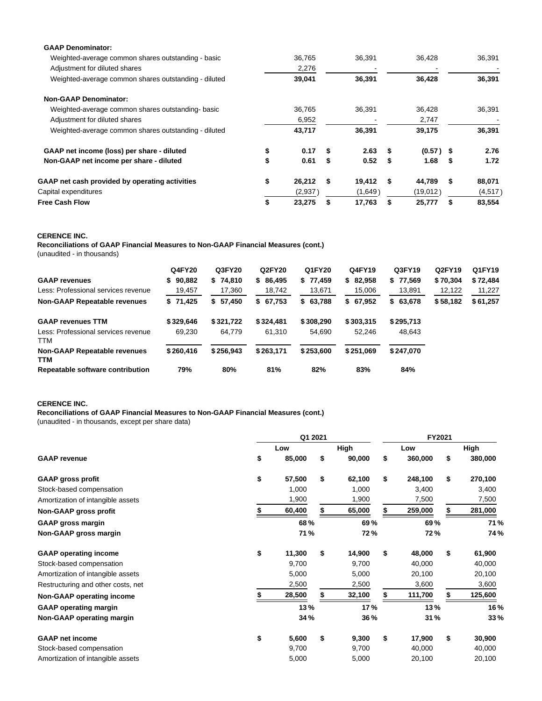| <b>Free Cash Flow</b>                                | \$<br>23,275 |      | 17,763  | S  | 25,777      | S  | 83,554  |
|------------------------------------------------------|--------------|------|---------|----|-------------|----|---------|
| Capital expenditures                                 | (2,937)      |      | (1,649) |    | (19,012)    |    | (4,517) |
| GAAP net cash provided by operating activities       | \$<br>26.212 | - \$ | 19,412  | \$ | 44,789      | S  | 88,071  |
| Non-GAAP net income per share - diluted              | \$<br>0.61   | \$   | 0.52    | \$ | 1.68        | \$ | 1.72    |
| GAAP net income (loss) per share - diluted           | 0.17         | S.   | 2.63    | \$ | $(0.57)$ \$ |    | 2.76    |
| Weighted-average common shares outstanding - diluted | 43,717       |      | 36,391  |    | 39,175      |    | 36,391  |
| Adjustment for diluted shares                        | 6,952        |      |         |    | 2,747       |    |         |
| Weighted-average common shares outstanding-basic     | 36,765       |      | 36,391  |    | 36,428      |    | 36,391  |
| <b>Non-GAAP Denominator:</b>                         |              |      |         |    |             |    |         |
| Weighted-average common shares outstanding - diluted | 39,041       |      | 36,391  |    | 36,428      |    | 36,391  |
| Adjustment for diluted shares                        | 2,276        |      |         |    |             |    |         |
| Weighted-average common shares outstanding - basic   | 36.765       |      | 36,391  |    | 36,428      |    | 36,391  |
| <b>GAAP Denominator:</b>                             |              |      |         |    |             |    |         |

**Reconciliations of GAAP Financial Measures to Non-GAAP Financial Measures (cont.)** (unaudited - in thousands)

|                                                   | <b>Q4FY20</b> | Q3FY20    | Q2FY20    | Q1FY20    | Q4FY19    | Q3FY19       | Q2FY19   | Q1FY19   |
|---------------------------------------------------|---------------|-----------|-----------|-----------|-----------|--------------|----------|----------|
| <b>GAAP revenues</b>                              | 90,882<br>s.  | \$74,810  | \$86,495  | \$77,459  | \$82,958  | \$77,569     | \$70,304 | \$72,484 |
| Less: Professional services revenue               | 19,457        | 17,360    | 18,742    | 13,671    | 15,006    | 13,891       | 12,122   | 11,227   |
| <b>Non-GAAP Repeatable revenues</b>               | \$71,425      | \$57,450  | \$67,753  | \$63,788  | \$67,952  | 63,678<br>s. | \$58,182 | \$61,257 |
| <b>GAAP revenues TTM</b>                          | \$329,646     | \$321,722 | \$324,481 | \$308,290 | \$303,315 | \$295,713    |          |          |
| Less: Professional services revenue<br><b>TTM</b> | 69,230        | 64,779    | 61,310    | 54,690    | 52,246    | 48,643       |          |          |
| <b>Non-GAAP Repeatable revenues</b><br><b>TTM</b> | \$260,416     | \$256.943 | \$263.171 | \$253,600 | \$251.069 | \$247,070    |          |          |
| Repeatable software contribution                  | 79%           | 80%       | 81%       | 82%       | 83%       | 84%          |          |          |

## **CERENCE INC.**

**Reconciliations of GAAP Financial Measures to Non-GAAP Financial Measures (cont.)**

|                                    | Q1 2021      |    |            |    | FY2021  |    |         |  |
|------------------------------------|--------------|----|------------|----|---------|----|---------|--|
|                                    | Low          |    | High       |    | Low     |    | High    |  |
| <b>GAAP</b> revenue                | \$<br>85,000 | \$ | 90,000     | \$ | 360,000 | \$ | 380,000 |  |
| <b>GAAP gross profit</b>           | \$<br>57,500 | \$ | 62,100     | \$ | 248,100 | \$ | 270,100 |  |
| Stock-based compensation           | 1,000        |    | 1,000      |    | 3,400   |    | 3,400   |  |
| Amortization of intangible assets  | 1,900        |    | 1,900      |    | 7,500   |    | 7,500   |  |
| Non-GAAP gross profit              | 60,400       | \$ | 65,000     |    | 259,000 | \$ | 281,000 |  |
| <b>GAAP gross margin</b>           | 68%          |    | 69%        |    | 69%     |    | 71%     |  |
| Non-GAAP gross margin              | 71%          |    | 72%        |    | 72%     |    | 74%     |  |
| <b>GAAP operating income</b>       | \$<br>11,300 | \$ | 14,900     | \$ | 48,000  | \$ | 61,900  |  |
| Stock-based compensation           | 9,700        |    | 9,700      |    | 40,000  |    | 40,000  |  |
| Amortization of intangible assets  | 5,000        |    | 5,000      |    | 20,100  |    | 20,100  |  |
| Restructuring and other costs, net | 2,500        |    | 2,500      |    | 3,600   |    | 3,600   |  |
| <b>Non-GAAP operating income</b>   | 28,500       |    | 32,100     |    | 111,700 |    | 125,600 |  |
| <b>GAAP</b> operating margin       | 13%          |    | <b>17%</b> |    | 13%     |    | 16%     |  |
| Non-GAAP operating margin          | 34%          |    | 36%        |    | 31%     |    | 33%     |  |
| <b>GAAP net income</b>             | \$<br>5,600  | \$ | 9,300      | \$ | 17,900  | \$ | 30,900  |  |
| Stock-based compensation           | 9,700        |    | 9,700      |    | 40,000  |    | 40,000  |  |
| Amortization of intangible assets  | 5,000        |    | 5,000      |    | 20,100  |    | 20,100  |  |